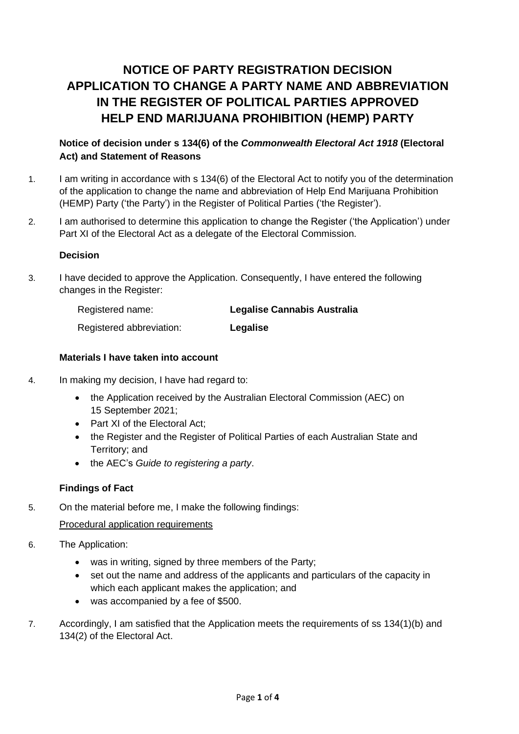# **NOTICE OF PARTY REGISTRATION DECISION APPLICATION TO CHANGE A PARTY NAME AND ABBREVIATION IN THE REGISTER OF POLITICAL PARTIES APPROVED HELP END MARIJUANA PROHIBITION (HEMP) PARTY**

## **Notice of decision under s 134(6) of the** *Commonwealth Electoral Act 1918* **(Electoral Act) and Statement of Reasons**

- 1. I am writing in accordance with s 134(6) of the Electoral Act to notify you of the determination of the application to change the name and abbreviation of Help End Marijuana Prohibition (HEMP) Party ('the Party') in the Register of Political Parties ('the Register').
- 2. I am authorised to determine this application to change the Register ('the Application') under Part XI of the Electoral Act as a delegate of the Electoral Commission.

#### **Decision**

3. I have decided to approve the Application. Consequently, I have entered the following changes in the Register:

| Registered name:         | <b>Legalise Cannabis Australia</b> |
|--------------------------|------------------------------------|
| Registered abbreviation: | Legalise                           |

## **Materials I have taken into account**

- 4. In making my decision, I have had regard to:
	- the Application received by the Australian Electoral Commission (AEC) on 15 September 2021;
	- Part XI of the Electoral Act:
	- the Register and the Register of Political Parties of each Australian State and Territory; and
	- the AEC's *Guide to registering a party*.

## **Findings of Fact**

5. On the material before me, I make the following findings:

## Procedural application requirements

- 6. The Application:
	- was in writing, signed by three members of the Party;
	- set out the name and address of the applicants and particulars of the capacity in which each applicant makes the application; and
	- was accompanied by a fee of \$500.
- 7. Accordingly, I am satisfied that the Application meets the requirements of ss 134(1)(b) and 134(2) of the Electoral Act.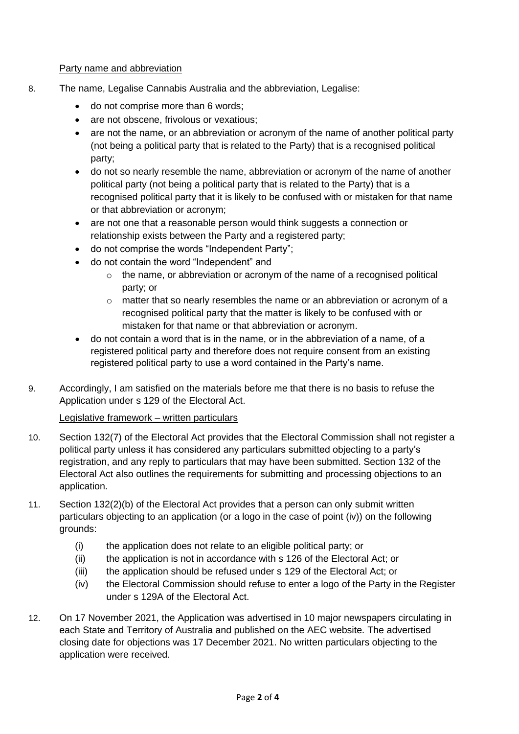#### Party name and abbreviation

- 8. The name, Legalise Cannabis Australia and the abbreviation, Legalise:
	- do not comprise more than 6 words;
	- are not obscene, frivolous or vexatious;
	- are not the name, or an abbreviation or acronym of the name of another political party (not being a political party that is related to the Party) that is a recognised political party;
	- do not so nearly resemble the name, abbreviation or acronym of the name of another political party (not being a political party that is related to the Party) that is a recognised political party that it is likely to be confused with or mistaken for that name or that abbreviation or acronym;
	- are not one that a reasonable person would think suggests a connection or relationship exists between the Party and a registered party;
	- do not comprise the words "Independent Party";
	- do not contain the word "Independent" and
		- $\circ$  the name, or abbreviation or acronym of the name of a recognised political party; or
		- $\circ$  matter that so nearly resembles the name or an abbreviation or acronym of a recognised political party that the matter is likely to be confused with or mistaken for that name or that abbreviation or acronym.
	- do not contain a word that is in the name, or in the abbreviation of a name, of a registered political party and therefore does not require consent from an existing registered political party to use a word contained in the Party's name.
- 9. Accordingly, I am satisfied on the materials before me that there is no basis to refuse the Application under s 129 of the Electoral Act.

## Legislative framework – written particulars

- 10. Section 132(7) of the Electoral Act provides that the Electoral Commission shall not register a political party unless it has considered any particulars submitted objecting to a party's registration, and any reply to particulars that may have been submitted. Section 132 of the Electoral Act also outlines the requirements for submitting and processing objections to an application.
- 11. Section 132(2)(b) of the Electoral Act provides that a person can only submit written particulars objecting to an application (or a logo in the case of point (iv)) on the following grounds:
	- (i) the application does not relate to an eligible political party; or
	- (ii) the application is not in accordance with s 126 of the Electoral Act; or
	- (iii) the application should be refused under s 129 of the Electoral Act; or
	- (iv) the Electoral Commission should refuse to enter a logo of the Party in the Register under s 129A of the Electoral Act.
- 12. On 17 November 2021, the Application was advertised in 10 major newspapers circulating in each State and Territory of Australia and published on the AEC website. The advertised closing date for objections was 17 December 2021. No written particulars objecting to the application were received.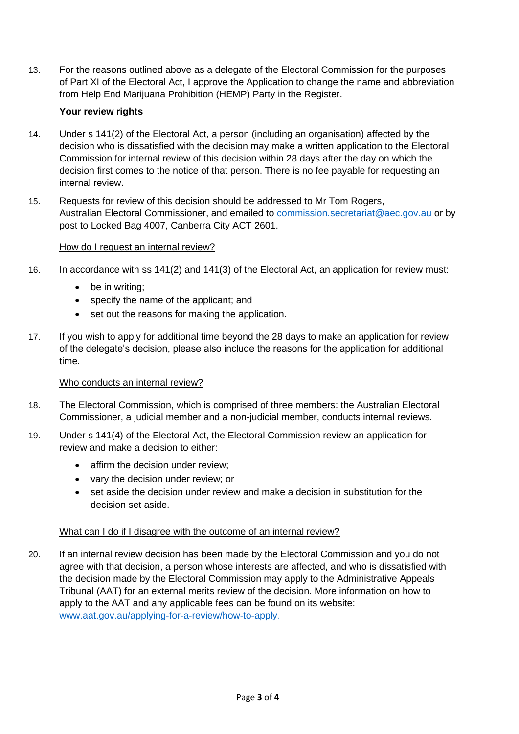13. For the reasons outlined above as a delegate of the Electoral Commission for the purposes of Part XI of the Electoral Act, I approve the Application to change the name and abbreviation from Help End Marijuana Prohibition (HEMP) Party in the Register.

## **Your review rights**

- 14. Under s 141(2) of the Electoral Act, a person (including an organisation) affected by the decision who is dissatisfied with the decision may make a written application to the Electoral Commission for internal review of this decision within 28 days after the day on which the decision first comes to the notice of that person. There is no fee payable for requesting an internal review.
- 15. Requests for review of this decision should be addressed to Mr Tom Rogers, Australian Electoral Commissioner, and emailed to [commission.secretariat@aec.gov.au](mailto:commission.secretariat@aec.gov.au) or by post to Locked Bag 4007, Canberra City ACT 2601.

#### How do I request an internal review?

- 16. In accordance with ss 141(2) and 141(3) of the Electoral Act, an application for review must:
	- be in writing:
	- specify the name of the applicant; and
	- set out the reasons for making the application.
- 17. If you wish to apply for additional time beyond the 28 days to make an application for review of the delegate's decision, please also include the reasons for the application for additional time.

#### Who conducts an internal review?

- 18. The Electoral Commission, which is comprised of three members: the Australian Electoral Commissioner, a judicial member and a non-judicial member, conducts internal reviews.
- 19. Under s 141(4) of the Electoral Act, the Electoral Commission review an application for review and make a decision to either:
	- affirm the decision under review:
	- vary the decision under review; or
	- set aside the decision under review and make a decision in substitution for the decision set aside.

#### What can I do if I disagree with the outcome of an internal review?

20. If an internal review decision has been made by the Electoral Commission and you do not agree with that decision, a person whose interests are affected, and who is dissatisfied with the decision made by the Electoral Commission may apply to the Administrative Appeals Tribunal (AAT) for an external merits review of the decision. More information on how to apply to the AAT and any applicable fees can be found on its website: [www.aat.gov.au/applying-for-a-review/how-to-apply.](http://www.aat.gov.au/applying-for-a-review/how-to-apply)